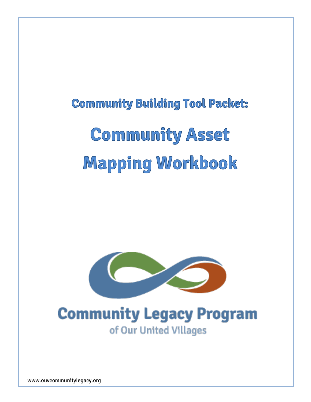# **Community Building Tool Packet: Community Asset Mapping Workbook**



## **Community Legacy Program** of Our United Villages

www.ouvcommunitylegacy.org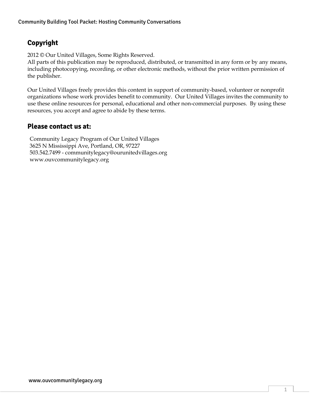#### **Copyright**

2012 © Our United Villages, Some Rights Reserved.

All parts of this publication may be reproduced, distributed, or transmitted in any form or by any means, including photocopying, recording, or other electronic methods, without the prior written permission of the publisher.

Our United Villages freely provides this content in support of community-based, volunteer or nonprofit organizations whose work provides benefit to community. Our United Villages invites the community to use these online resources for personal, educational and other non-commercial purposes. By using these resources, you accept and agree to abide by these terms.

#### **Please contact us at:**

Community Legacy Program of Our United Villages 3625 N Mississippi Ave, Portland, OR, 97227 503.542.7499 - communitylegacy@ourunitedvillages.org www.ouvcommunitylegacy.org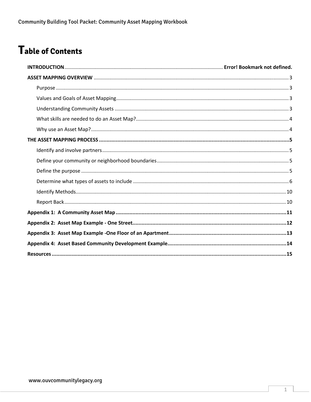### Table of Contents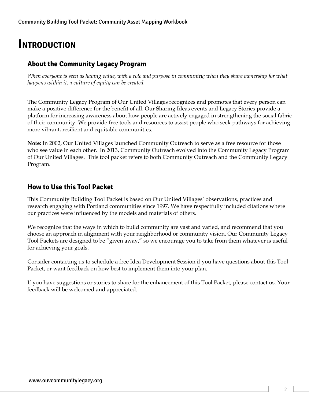### **INTRODUCTION**

#### **About the Community Legacy Program**

*When everyone is seen as having value, with a role and purpose in community; when they share ownership for what happens within it, a culture of equity can be created.*

The Community Legacy Program of Our United Villages recognizes and promotes that every person can make a positive difference for the benefit of all. Our Sharing Ideas events and Legacy Stories provide a platform for increasing awareness about how people are actively engaged in strengthening the social fabric of their community. We provide free tools and resources to assist people who seek pathways for achieving more vibrant, resilient and equitable communities.

**Note:** In 2002, Our United Villages launched Community Outreach to serve as a free resource for those who see value in each other. In 2013, Community Outreach evolved into the Community Legacy Program of Our United Villages. This tool packet refers to both Community Outreach and the Community Legacy Program.

#### **How to Use this Tool Packet**

This Community Building Tool Packet is based on Our United Villages' observations, practices and research engaging with Portland communities since 1997. We have respectfully included citations where our practices were influenced by the models and materials of others.

We recognize that the ways in which to build community are vast and varied, and recommend that you choose an approach in alignment with your neighborhood or community vision. Our Community Legacy Tool Packets are designed to be "given away," so we encourage you to take from them whatever is useful for achieving your goals.

Consider contacting us to schedule a free Idea Development Session if you have questions about this Tool Packet, or want feedback on how best to implement them into your plan.

If you have suggestions or stories to share for the enhancement of this Tool Packet, please contact us. Your feedback will be welcomed and appreciated.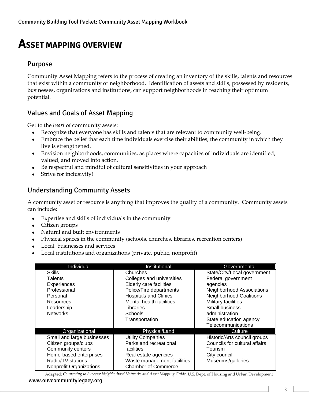### <span id="page-4-0"></span>**ASSET MAPPING OVERVIEW**

#### <span id="page-4-1"></span>Purpose

Community Asset Mapping refers to the process of creating an inventory of the skills, talents and resources that exist within a community or neighborhood. Identification of assets and skills, possessed by residents, businesses, organizations and institutions, can support neighborhoods in reaching their optimum potential.

#### <span id="page-4-2"></span>Values and Goals of Asset Mapping

Get to the *heart* of community assets:

- Recognize that everyone has skills and talents that are relevant to community well-being.
- Embrace the belief that each time individuals exercise their abilities, the community in which they live is strengthened.
- Envision neighborhoods, communities, as places where capacities of individuals are identified, valued, and moved into action.
- Be respectful and mindful of cultural sensitivities in your approach
- Strive for inclusivity!

#### <span id="page-4-3"></span>Understanding Community Assets

A community asset or resource is anything that improves the quality of a community. Community assets can include:

- Expertise and skills of individuals in the community
- Citizen groups
- Natural and built environments
- Physical spaces in the community (schools, churches, libraries, recreation centers)
- Local businesses and services
- Local institutions and organizations (private, public, nonprofit)

| Individual                 | Institutional                | Governmental                   |
|----------------------------|------------------------------|--------------------------------|
| Skills                     | Churches                     | State/City/Local government    |
| <b>Talents</b>             | Colleges and universities    | Federal government             |
| Experiences                | Elderly care facilities      | agencies                       |
| Professional               | Police/Fire departments      | Neighborhood Associations      |
| Personal                   | <b>Hospitals and Clinics</b> | <b>Neighborhood Coalitions</b> |
| Resources                  | Mental health facilities     | Military facilities            |
| Leadership                 | Libraries                    | Small business                 |
| <b>Networks</b>            | Schools                      | administration                 |
|                            | Transportation               | State education agency         |
|                            |                              | Telecommunications             |
| Organizational             | Physical/Land                | Culture                        |
| Small and large businesses | <b>Utility Companies</b>     | Historic/Arts council groups   |
| Citizen groups/clubs       | Parks and recreational       | Councils for cultural affairs  |
| Community centers          | facilities                   | Tourism                        |
| Home-based enterprises     | Real estate agencies         | City council                   |
| Radio/TV stations          | Waste management facilities  | Museums/galleries              |
| Nonprofit Organizations    | <b>Chamber of Commerce</b>   |                                |

Adapted: *Connecting to Success: Neighborhood Networks and Asset Mapping Guide*, U.S. Dept. of Housing and Urban Development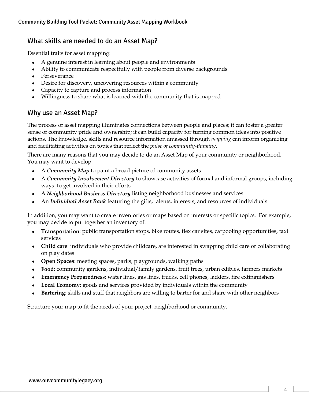#### <span id="page-5-0"></span>What skills are needed to do an Asset Map?

Essential traits for asset mapping:

- A genuine interest in learning about people and environments
- Ability to communicate respectfully with people from diverse backgrounds
- Perseverance
- Desire for discovery, uncovering resources within a community
- Capacity to capture and process information
- Willingness to share what is learned with the community that is mapped

#### <span id="page-5-1"></span>Why use an Asset Map?

The process of asset mapping illuminates connections between people and places; it can foster a greater sense of community pride and ownership; it can build capacity for turning common ideas into positive actions. The knowledge, skills and resource information amassed through *mapping* can inform organizing and facilitating activities on topics that reflect the *pulse of community-thinking.* 

There are many reasons that you may decide to do an Asset Map of your community or neighborhood. You may want to develop:

- A *Community Map* to paint a broad picture of community assets
- A *Community Involvement Directory* to showcase activities of formal and informal groups, including ways to get involved in their efforts
- A *Neighborhood Business Directory* listing neighborhood businesses and services
- An *Individual Asset Bank* featuring the gifts, talents, interests, and resources of individuals

In addition, you may want to create inventories or maps based on interests or specific topics. For example, you may decide to put together an inventory of:

- **Transportation**: public transportation stops, bike routes, flex car sites, carpooling opportunities, taxi services
- **Child care**: individuals who provide childcare, are interested in swapping child care or collaborating on play dates
- **Open Spaces**: meeting spaces, parks, playgrounds, walking paths
- **Food**: community gardens, individual/family gardens, fruit trees, urban edibles, farmers markets
- **Emergency Preparednes**s: water lines, gas lines, trucks, cell phones, ladders, fire extinguishers
- **Local Economy**: goods and services provided by individuals within the community
- **Bartering**: skills and stuff that neighbors are willing to barter for and share with other neighbors

Structure your map to fit the needs of your project, neighborhood or community.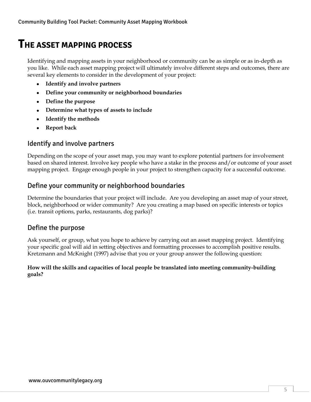### <span id="page-6-0"></span>**THE ASSET MAPPING PROCESS**

Identifying and mapping assets in your neighborhood or community can be as simple or as in-depth as you like. While each asset mapping project will ultimately involve different steps and outcomes, there are several key elements to consider in the development of your project:

- **Identify and involve partners**
- **Define your community or neighborhood boundaries**
- **Define the purpose**
- **Determine what types of assets to include**
- **Identify the methods**
- **Report back**

#### <span id="page-6-1"></span>Identify and involve partners

Depending on the scope of your asset map, you may want to explore potential partners for involvement based on shared interest. Involve key people who have a stake in the process and/or outcome of your asset mapping project. Engage enough people in your project to strengthen capacity for a successful outcome.

#### <span id="page-6-2"></span>Define your community or neighborhood boundaries

Determine the boundaries that your project will include. Are you developing an asset map of your street, block, neighborhood or wider community? Are you creating a map based on specific interests or topics (i.e. transit options, parks, restaurants, dog parks)?

#### <span id="page-6-3"></span>Define the purpose

Ask yourself, or group, what you hope to achieve by carrying out an asset mapping project. Identifying your specific goal will aid in setting objectives and formatting processes to accomplish positive results. Kretzmann and McKnight (1997) advise that you or your group answer the following question:

#### **How will the skills and capacities of local people be translated into meeting community-building goals?**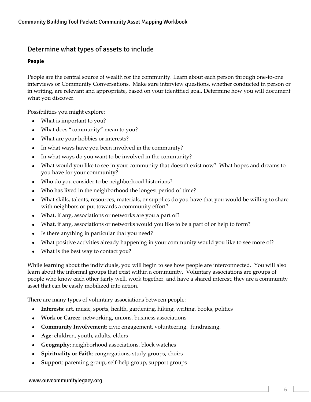#### <span id="page-7-0"></span>Determine what types of assets to include

#### **People**

People are the central source of wealth for the community. Learn about each person through one-to-one interviews or Community Conversations. Make sure interview questions, whether conducted in person or in writing, are relevant and appropriate, based on your identified goal. Determine how you will document what you discover.

Possibilities you might explore:

- What is important to you?
- What does "community" mean to you?
- What are your hobbies or interests?
- In what ways have you been involved in the community?
- In what ways do you want to be involved in the community?
- What would you like to see in your community that doesn't exist now? What hopes and dreams to you have for your community?
- Who do you consider to be neighborhood historians?
- Who has lived in the neighborhood the longest period of time?
- What skills, talents, resources, materials, or supplies do you have that you would be willing to share with neighbors or put towards a community effort?
- What, if any, associations or networks are you a part of?
- What, if any, associations or networks would you like to be a part of or help to form?
- Is there anything in particular that you need?
- What positive activities already happening in your community would you like to see more of?
- What is the best way to contact you?

While learning about the individuals, you will begin to see how people are interconnected. You will also learn about the informal groups that exist within a community. Voluntary associations are groups of people who know each other fairly well, work together, and have a shared interest; they are a community asset that can be easily mobilized into action.

There are many types of voluntary associations between people:

- **Interests**: art, music, sports, health, gardening, hiking, writing, books, politics
- **Work or Career**: networking, unions, business associations
- **Community Involvement**: civic engagement, volunteering, fundraising,
- **Age**: children, youth, adults, elders
- **Geography**: neighborhood associations, block watches
- **Spirituality or Faith**: congregations, study groups, choirs
- **Support**: parenting group, self-help group, support groups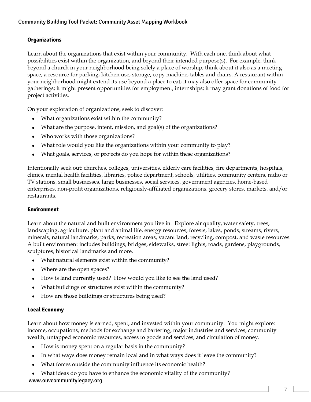#### **Organizations**

Learn about the organizations that exist within your community. With each one, think about what possibilities exist within the organization, and beyond their intended purpose(s). For example, think beyond a church in your neighborhood being solely a place of worship; think about it also as a meeting space, a resource for parking, kitchen use, storage, copy machine, tables and chairs. A restaurant within your neighborhood might extend its use beyond a place to eat; it may also offer space for community gatherings; it might present opportunities for employment, internships; it may grant donations of food for project activities.

On your exploration of organizations, seek to discover:

- What organizations exist within the community?
- What are the purpose, intent, mission, and goal(s) of the organizations?
- Who works with those organizations?
- What role would you like the organizations within your community to play?
- What goals, services, or projects do you hope for within these organizations?

Intentionally seek out: churches, colleges, universities, elderly care facilities, fire departments, hospitals, clinics, mental health facilities, libraries, police department, schools, utilities, community centers, radio or TV stations, small businesses, large businesses, social services, government agencies, home-based enterprises, non-profit organizations, religiously-affiliated organizations, grocery stores, markets, and/or restaurants.

#### **Environment**

Learn about the natural and built environment you live in. Explore air quality, water safety, trees, landscaping, agriculture, plant and animal life, energy resources, forests, lakes, ponds, streams, rivers, minerals, natural landmarks, parks, recreation areas, vacant land, recycling, compost, and waste resources. A built environment includes buildings, bridges, sidewalks, street lights, roads, gardens, playgrounds, sculptures, historical landmarks and more.

- What natural elements exist within the community?
- Where are the open spaces?
- How is land currently used? How would you like to see the land used?
- What buildings or structures exist within the community?
- How are those buildings or structures being used?

#### **Local Economy**

Learn about how money is earned, spent, and invested within your community. You might explore: income, occupations, methods for exchange and bartering, major industries and services, community wealth, untapped economic resources, access to goods and services, and circulation of money.

- How is money spent on a regular basis in the community?
- In what ways does money remain local and in what ways does it leave the community?
- What forces outside the community influence its economic health?
- www.ouvcommunitylegacy.org What ideas do you have to enhance the economic vitality of the community?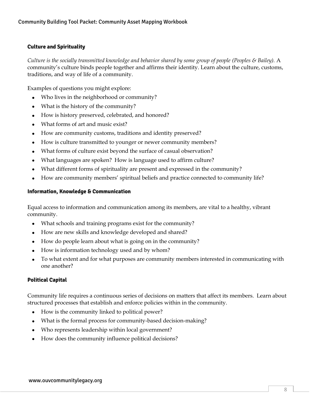#### **Culture and Spirituality**

*Culture is the socially transmitted knowledge and behavior shared by some group of people (Peoples & Bailey).* A community's culture binds people together and affirms their identity. Learn about the culture, customs, traditions, and way of life of a community.

Examples of questions you might explore:

- Who lives in the neighborhood or community?
- What is the history of the community?
- How is history preserved, celebrated, and honored?
- What forms of art and music exist?
- How are community customs, traditions and identity preserved?
- How is culture transmitted to younger or newer community members?
- What forms of culture exist beyond the surface of casual observation?
- What languages are spoken? How is language used to affirm culture?
- What different forms of spirituality are present and expressed in the community?
- How are community members' spiritual beliefs and practice connected to community life?

#### **Information, Knowledge & Communication**

Equal access to information and communication among its members, are vital to a healthy, vibrant community.

- What schools and training programs exist for the community?
- How are new skills and knowledge developed and shared?
- How do people learn about what is going on in the community?
- How is information technology used and by whom?
- To what extent and for what purposes are community members interested in communicating with one another?

#### **Political Capital**

Community life requires a continuous series of decisions on matters that affect its members. Learn about structured processes that establish and enforce policies within in the community.

- How is the community linked to political power?
- What is the formal process for community-based decision-making?
- Who represents leadership within local government?
- How does the community influence political decisions?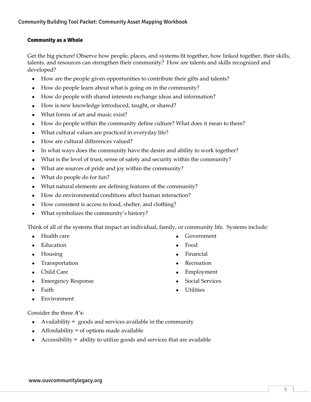#### **Community as a Whole**

Get the big picture! Observe how people, places, and systems fit together, how linked together, their skills, talents, and resources can strengthen their community? How are talents and skills recognized and developed?

- How are the people given opportunities to contribute their gifts and talents?
- How do people learn about what is going on in the community?
- How do people with shared interests exchange ideas and information?
- How is new knowledge introduced, taught, or shared?
- What forms of art and music exist?
- How do people within the community define culture? What does it mean to them?
- What cultural values are practiced in everyday life?
- How are cultural differences valued?
- In what ways does the community have the desire and ability to work together?
- What is the level of trust, sense of safety and security within the community?
- What are sources of pride and joy within the community?
- What do people do for fun?
- What natural elements are defining features of the community?
- How do environmental conditions affect human interaction?
- How consistent is access to food, shelter, and clothing?
- What symbolizes the community's history?

Think of all of the systems that impact an individual, family, or community life. Systems include:

- Health care
- Education
- Housing
- Transportation
- Child Care
- Emergency Response
- Faith
- Environment
- Government
- Food
- Financial
- Recreation
- Employment
- Social Services
- Utilities

Consider the three *A's*:

- Availability  $=$  goods and services available in the community
- Affordability = of options made available
- Accessibility = ability to utilize goods and services that are available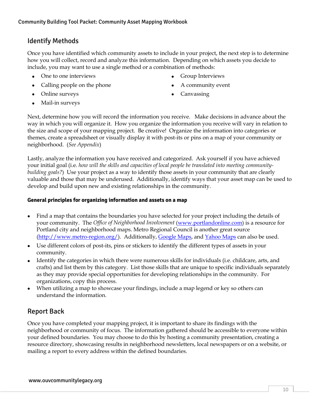#### <span id="page-11-0"></span>Identify Methods

Once you have identified which community assets to include in your project, the next step is to determine how you will collect, record and analyze this information. Depending on which assets you decide to include, you may want to use a single method or a combination of methods:

- One to one interviews
- Calling people on the phone
- Online surveys
	- Mail-in surveys
- Group Interviews
- A community event
- Canvassing

Next, determine how you will record the information you receive. Make decisions in advance about the way in which you will organize it. How you organize the information you receive will vary in relation to the size and scope of your mapping project. Be creative! Organize the information into categories or themes, create a spreadsheet or visually display it with post-its or pins on a map of your community or neighborhood. (*See Appendix*)

Lastly, analyze the information you have received and categorized. Ask yourself if you have achieved your initial goal (i.e. *how will the skills and capacities of local people be translated into meeting communitybuilding goals?*) Use your project as a way to identify those assets in your community that are clearly valuable and those that may be underused. Additionally, identify ways that your asset map can be used to develop and build upon new and existing relationships in the community.

#### **General principles for organizing information and assets on a map**

- Find a map that contains the boundaries you have selected for your project including the details of your community. The *Office of Neighborhood Involvement* [\(www.portlandonline.com\)](http://www.portlandonline.com/) is a resource for Portland city and neighborhood maps. Metro Regional Council is another great source [\(http://www.metro-region.org/\)](http://www.metro-region.org/). Additionally, [Google Maps,](http://maps.google.com/) an[d Yahoo Maps](http://maps.yahoo.com/) can also be used.
- Use different colors of post-its, pins or stickers to identify the different types of assets in your community.
- Identify the categories in which there were numerous skills for individuals (i.e. childcare, arts, and crafts) and list them by this category. List those skills that are unique to specific individuals separately as they may provide special opportunities for developing relationships in the community. For organizations, copy this process.
- When utilizing a map to showcase your findings, include a map legend or key so others can understand the information.

#### <span id="page-11-1"></span>Report Back

Once you have completed your mapping project, it is important to share its findings with the neighborhood or community of focus. The information gathered should be accessible to everyone within your defined boundaries. You may choose to do this by hosting a community presentation, creating a resource directory, showcasing results in neighborhood newsletters, local newspapers or on a website, or mailing a report to every address within the defined boundaries.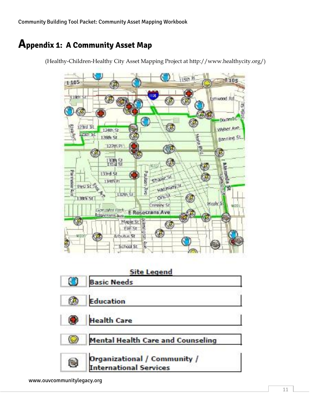### <span id="page-12-0"></span>**Appendix 1: A Community Asset Map**

(Healthy-Children-Healthy City Asset Mapping Project at http://www.healthycity.org/)

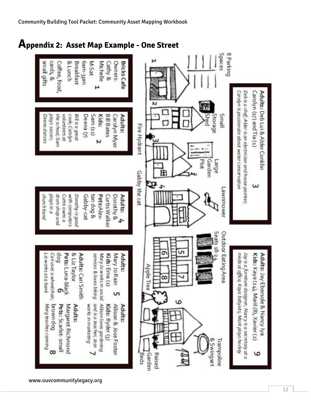### <span id="page-13-0"></span>**Appendix 2: Asset Map Example - One Street**

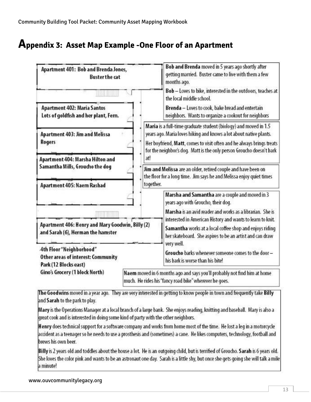### <span id="page-14-0"></span>**Appendix 3: Asset Map Example -One Floor of an Apartment**



The Goodwins moved in a year ago. They are very interested in getting to know people in town and frequently take Billy and Sarah to the park to play.

Mary is the Operations Manager at a local branch of a large bank. She enjoys reading, knitting and baseball. Mary is also a great cook and is interested in doing some kind of party with the other neighbors.

Henry does technical support for a software company and works from home most of the time. He lost a leg in a motorcycle accident as a teenager so he needs to use a prosthesis and (sometimes) a cane. He likes computers, technology, football and brews his own beer.

Billy is 2 years old and toddles about the house a lot. He is an outgoing child, but is terrified of Groucho. Sarah is 6 years old. She loves the color pink and wants to be an astronaut one day. Sarah is a little shy, but once she gets going she will talk a mile a minute!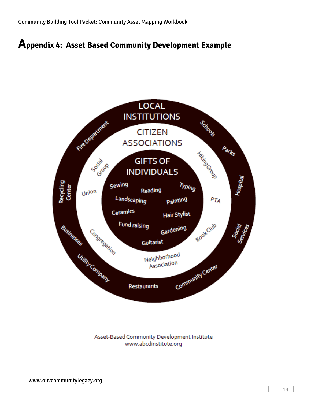### <span id="page-15-0"></span>**Appendix 4: Asset Based Community Development Example**



Asset-Based Community Development Institute www.abcdinstitute.org